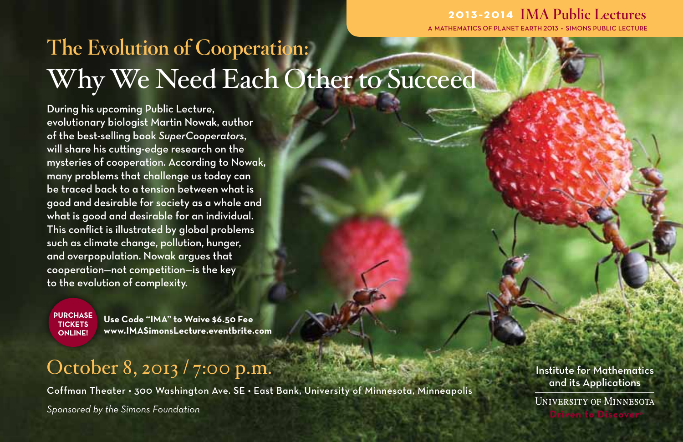#### 2013–2014 IMA Public Lectures

 $\overline{C}$  CS of PLANET EARTH 2013 • SIMONS PUBLIC LECTURE

# The Evolution of Cooperation: Why We Need Each Other to Succeed

During his upcoming Public Lecture, evolutionary biologist Martin Nowak, author of the best-selling book *SuperCooperators*, will share his cutting-edge research on the mysteries of cooperation. According to Nowak, many problems that challenge us today can be traced back to a tension between what is good and desirable for society as a whole and what is good and desirable for an individual. This conflict is illustrated by global problems such as climate change, pollution, hunger, and overpopulation. Nowak argues that cooperation—not competition—is the key to the evolution of complexity.

**Purchase Tickets Online!**

**Use Code "IMA" to Waive \$6.50 Fee www.IMASimonsLecture.eventbrite.com**

### October 8, 2013 / 7:00 p.m.

Coffman Theater • 300 Washington Ave. SE • East Bank, University of Minnesota, Minneapolis *Sponsored by the Simons Foundation*

Institute for Mathematics and its Applications

**UNIVERSITY OF MINNESOTA**